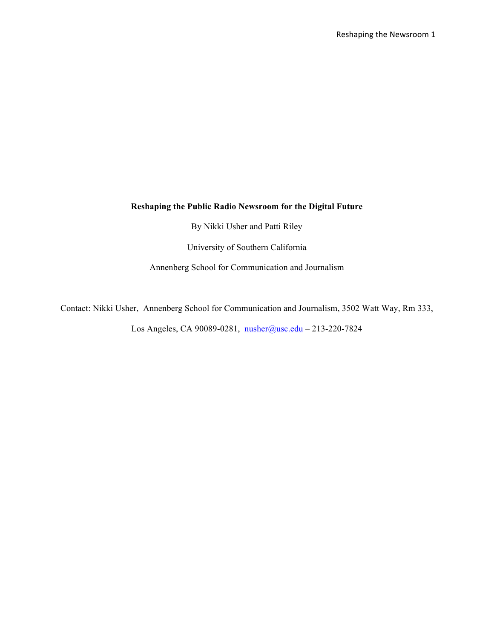# **Reshaping the Public Radio Newsroom for the Digital Future**

By Nikki Usher and Patti Riley

University of Southern California

Annenberg School for Communication and Journalism

Contact: Nikki Usher, Annenberg School for Communication and Journalism, 3502 Watt Way, Rm 333,

Los Angeles, CA 90089-0281, nusher@usc.edu - 213-220-7824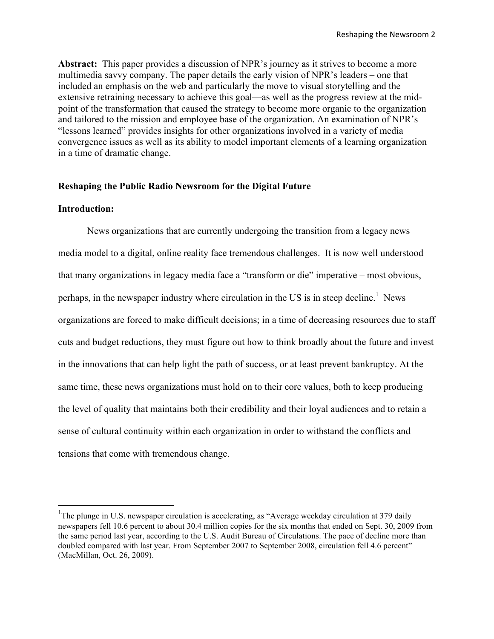**Abstract:** This paper provides a discussion of NPR's journey as it strives to become a more multimedia savvy company. The paper details the early vision of NPR's leaders – one that included an emphasis on the web and particularly the move to visual storytelling and the extensive retraining necessary to achieve this goal—as well as the progress review at the midpoint of the transformation that caused the strategy to become more organic to the organization and tailored to the mission and employee base of the organization. An examination of NPR's "lessons learned" provides insights for other organizations involved in a variety of media convergence issues as well as its ability to model important elements of a learning organization in a time of dramatic change.

### **Reshaping the Public Radio Newsroom for the Digital Future**

# **Introduction:**

News organizations that are currently undergoing the transition from a legacy news media model to a digital, online reality face tremendous challenges. It is now well understood that many organizations in legacy media face a "transform or die" imperative – most obvious, perhaps, in the newspaper industry where circulation in the US is in steep decline.<sup>1</sup> News organizations are forced to make difficult decisions; in a time of decreasing resources due to staff cuts and budget reductions, they must figure out how to think broadly about the future and invest in the innovations that can help light the path of success, or at least prevent bankruptcy. At the same time, these news organizations must hold on to their core values, both to keep producing the level of quality that maintains both their credibility and their loyal audiences and to retain a sense of cultural continuity within each organization in order to withstand the conflicts and tensions that come with tremendous change.

 $\frac{1}{1}$ The plunge in U.S. newspaper circulation is accelerating, as "Average weekday circulation at 379 daily newspapers fell 10.6 percent to about 30.4 million copies for the six months that ended on Sept. 30, 2009 from the same period last year, according to the U.S. Audit Bureau of Circulations. The pace of decline more than doubled compared with last year. From September 2007 to September 2008, circulation fell 4.6 percent" (MacMillan, Oct. 26, 2009).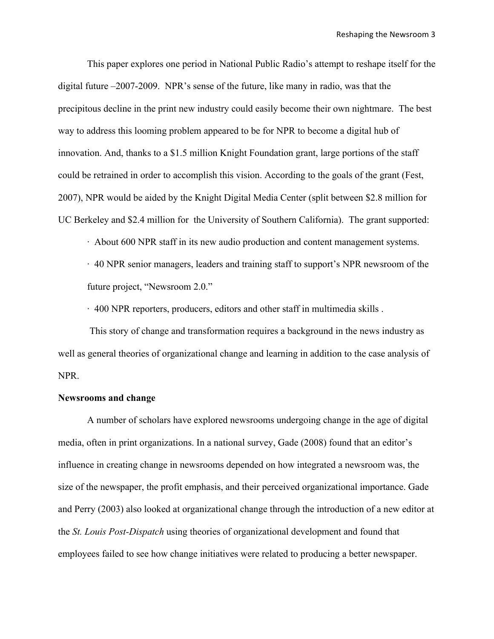This paper explores one period in National Public Radio's attempt to reshape itself for the digital future –2007-2009. NPR's sense of the future, like many in radio, was that the precipitous decline in the print new industry could easily become their own nightmare. The best way to address this looming problem appeared to be for NPR to become a digital hub of innovation. And, thanks to a \$1.5 million Knight Foundation grant, large portions of the staff could be retrained in order to accomplish this vision. According to the goals of the grant (Fest, 2007), NPR would be aided by the Knight Digital Media Center (split between \$2.8 million for UC Berkeley and \$2.4 million for the University of Southern California). The grant supported:

· About 600 NPR staff in its new audio production and content management systems.

· 40 NPR senior managers, leaders and training staff to support's NPR newsroom of the future project, "Newsroom 2.0."

· 400 NPR reporters, producers, editors and other staff in multimedia skills .

This story of change and transformation requires a background in the news industry as well as general theories of organizational change and learning in addition to the case analysis of NPR.

#### **Newsrooms and change**

A number of scholars have explored newsrooms undergoing change in the age of digital media, often in print organizations. In a national survey, Gade (2008) found that an editor's influence in creating change in newsrooms depended on how integrated a newsroom was, the size of the newspaper, the profit emphasis, and their perceived organizational importance. Gade and Perry (2003) also looked at organizational change through the introduction of a new editor at the *St. Louis Post-Dispatch* using theories of organizational development and found that employees failed to see how change initiatives were related to producing a better newspaper.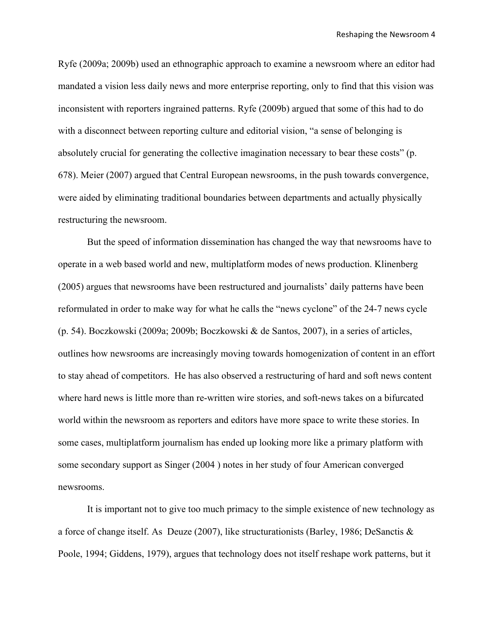Ryfe (2009a; 2009b) used an ethnographic approach to examine a newsroom where an editor had mandated a vision less daily news and more enterprise reporting, only to find that this vision was inconsistent with reporters ingrained patterns. Ryfe (2009b) argued that some of this had to do with a disconnect between reporting culture and editorial vision, "a sense of belonging is absolutely crucial for generating the collective imagination necessary to bear these costs" (p. 678). Meier (2007) argued that Central European newsrooms, in the push towards convergence, were aided by eliminating traditional boundaries between departments and actually physically restructuring the newsroom.

But the speed of information dissemination has changed the way that newsrooms have to operate in a web based world and new, multiplatform modes of news production. Klinenberg (2005) argues that newsrooms have been restructured and journalists' daily patterns have been reformulated in order to make way for what he calls the "news cyclone" of the 24-7 news cycle (p. 54). Boczkowski (2009a; 2009b; Boczkowski & de Santos, 2007), in a series of articles, outlines how newsrooms are increasingly moving towards homogenization of content in an effort to stay ahead of competitors. He has also observed a restructuring of hard and soft news content where hard news is little more than re-written wire stories, and soft-news takes on a bifurcated world within the newsroom as reporters and editors have more space to write these stories. In some cases, multiplatform journalism has ended up looking more like a primary platform with some secondary support as Singer (2004 ) notes in her study of four American converged newsrooms.

It is important not to give too much primacy to the simple existence of new technology as a force of change itself. As Deuze (2007), like structurationists (Barley, 1986; DeSanctis & Poole, 1994; Giddens, 1979), argues that technology does not itself reshape work patterns, but it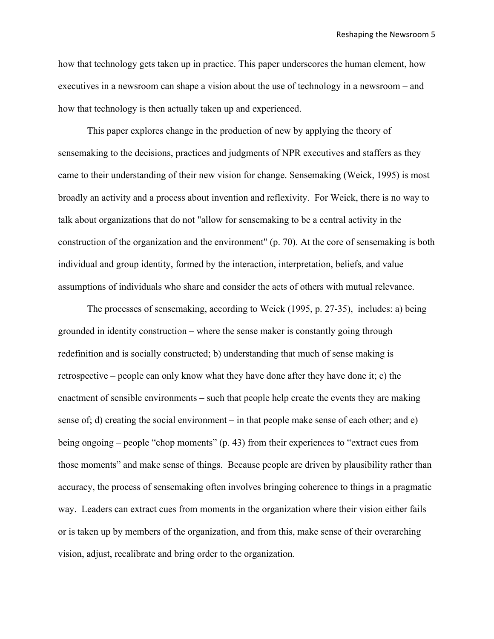how that technology gets taken up in practice. This paper underscores the human element, how executives in a newsroom can shape a vision about the use of technology in a newsroom – and how that technology is then actually taken up and experienced.

This paper explores change in the production of new by applying the theory of sensemaking to the decisions, practices and judgments of NPR executives and staffers as they came to their understanding of their new vision for change. Sensemaking (Weick, 1995) is most broadly an activity and a process about invention and reflexivity. For Weick, there is no way to talk about organizations that do not "allow for sensemaking to be a central activity in the construction of the organization and the environment" (p. 70). At the core of sensemaking is both individual and group identity, formed by the interaction, interpretation, beliefs, and value assumptions of individuals who share and consider the acts of others with mutual relevance.

The processes of sensemaking, according to Weick (1995, p. 27-35), includes: a) being grounded in identity construction – where the sense maker is constantly going through redefinition and is socially constructed; b) understanding that much of sense making is retrospective – people can only know what they have done after they have done it; c) the enactment of sensible environments – such that people help create the events they are making sense of; d) creating the social environment – in that people make sense of each other; and e) being ongoing – people "chop moments" (p. 43) from their experiences to "extract cues from those moments" and make sense of things. Because people are driven by plausibility rather than accuracy, the process of sensemaking often involves bringing coherence to things in a pragmatic way. Leaders can extract cues from moments in the organization where their vision either fails or is taken up by members of the organization, and from this, make sense of their overarching vision, adjust, recalibrate and bring order to the organization.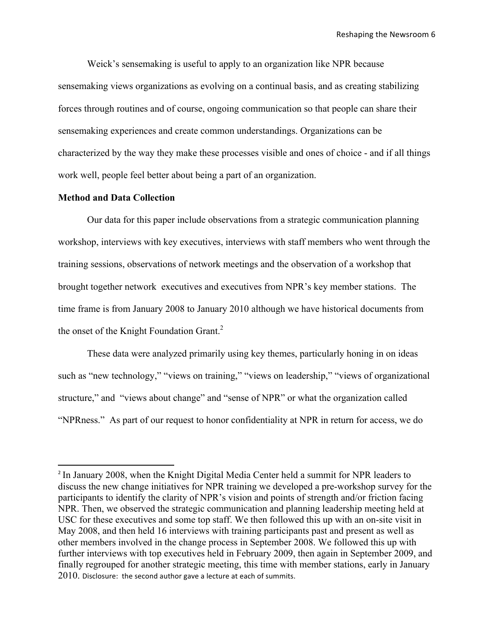Weick's sensemaking is useful to apply to an organization like NPR because sensemaking views organizations as evolving on a continual basis, and as creating stabilizing forces through routines and of course, ongoing communication so that people can share their sensemaking experiences and create common understandings. Organizations can be characterized by the way they make these processes visible and ones of choice - and if all things work well, people feel better about being a part of an organization.

### **Method and Data Collection**

\*\*\*\*\*\*\*\*\*\*\*\*\*\*\*\*\*\*\*\*\*\*\*\*\*\*\*\*\*\*\*\*\*\*\*\*\*\*\*\*\*\*\*\*\*\*\*\*\*\*\*\*\*\*\*\*\*\*\*\*

Our data for this paper include observations from a strategic communication planning workshop, interviews with key executives, interviews with staff members who went through the training sessions, observations of network meetings and the observation of a workshop that brought together network executives and executives from NPR's key member stations. The time frame is from January 2008 to January 2010 although we have historical documents from the onset of the Knight Foundation Grant.<sup>2</sup>

These data were analyzed primarily using key themes, particularly honing in on ideas such as "new technology," "views on training," "views on leadership," "views of organizational structure," and "views about change" and "sense of NPR" or what the organization called "NPRness." As part of our request to honor confidentiality at NPR in return for access, we do

<sup>&</sup>lt;sup>2</sup> In January 2008, when the Knight Digital Media Center held a summit for NPR leaders to discuss the new change initiatives for NPR training we developed a pre-workshop survey for the participants to identify the clarity of NPR's vision and points of strength and/or friction facing NPR. Then, we observed the strategic communication and planning leadership meeting held at USC for these executives and some top staff. We then followed this up with an on-site visit in May 2008, and then held 16 interviews with training participants past and present as well as other members involved in the change process in September 2008. We followed this up with further interviews with top executives held in February 2009, then again in September 2009, and finally regrouped for another strategic meeting, this time with member stations, early in January  $2010$ . Disclosure: the second author gave a lecture at each of summits.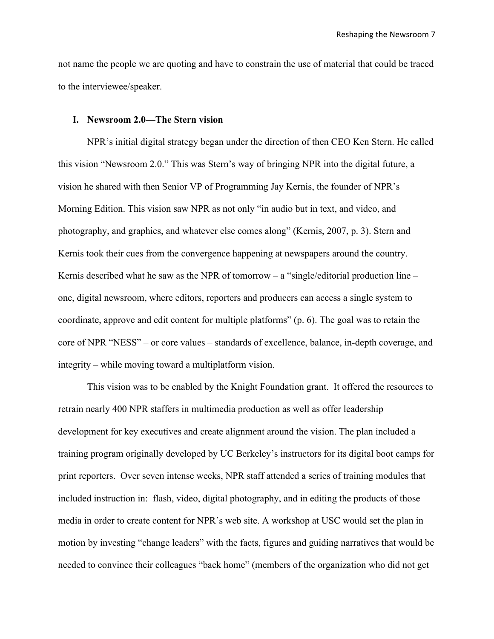not name the people we are quoting and have to constrain the use of material that could be traced to the interviewee/speaker.

### **I. Newsroom 2.0—The Stern vision**

NPR's initial digital strategy began under the direction of then CEO Ken Stern. He called this vision "Newsroom 2.0." This was Stern's way of bringing NPR into the digital future, a vision he shared with then Senior VP of Programming Jay Kernis, the founder of NPR's Morning Edition. This vision saw NPR as not only "in audio but in text, and video, and photography, and graphics, and whatever else comes along" (Kernis, 2007, p. 3). Stern and Kernis took their cues from the convergence happening at newspapers around the country. Kernis described what he saw as the NPR of tomorrow  $-$  a "single/editorial production line  $$ one, digital newsroom, where editors, reporters and producers can access a single system to coordinate, approve and edit content for multiple platforms" (p. 6). The goal was to retain the core of NPR "NESS" – or core values – standards of excellence, balance, in-depth coverage, and integrity – while moving toward a multiplatform vision.

This vision was to be enabled by the Knight Foundation grant. It offered the resources to retrain nearly 400 NPR staffers in multimedia production as well as offer leadership development for key executives and create alignment around the vision. The plan included a training program originally developed by UC Berkeley's instructors for its digital boot camps for print reporters. Over seven intense weeks, NPR staff attended a series of training modules that included instruction in: flash, video, digital photography, and in editing the products of those media in order to create content for NPR's web site. A workshop at USC would set the plan in motion by investing "change leaders" with the facts, figures and guiding narratives that would be needed to convince their colleagues "back home" (members of the organization who did not get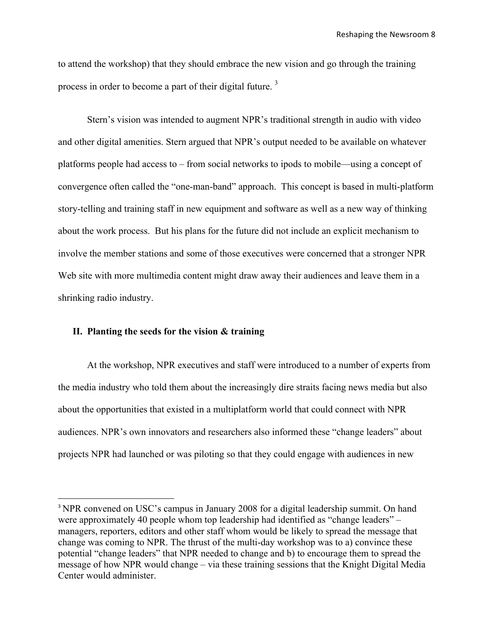to attend the workshop) that they should embrace the new vision and go through the training process in order to become a part of their digital future.<sup>3</sup>

Stern's vision was intended to augment NPR's traditional strength in audio with video and other digital amenities. Stern argued that NPR's output needed to be available on whatever platforms people had access to – from social networks to ipods to mobile—using a concept of convergence often called the "one-man-band" approach. This concept is based in multi-platform story-telling and training staff in new equipment and software as well as a new way of thinking about the work process. But his plans for the future did not include an explicit mechanism to involve the member stations and some of those executives were concerned that a stronger NPR Web site with more multimedia content might draw away their audiences and leave them in a shrinking radio industry.

#### **II. Planting the seeds for the vision & training**

\*\*\*\*\*\*\*\*\*\*\*\*\*\*\*\*\*\*\*\*\*\*\*\*\*\*\*\*\*\*\*\*\*\*\*\*\*\*\*\*\*\*\*\*\*\*\*\*\*\*\*\*\*\*\*\*\*\*\*\*

At the workshop, NPR executives and staff were introduced to a number of experts from the media industry who told them about the increasingly dire straits facing news media but also about the opportunities that existed in a multiplatform world that could connect with NPR audiences. NPR's own innovators and researchers also informed these "change leaders" about projects NPR had launched or was piloting so that they could engage with audiences in new

<sup>&</sup>lt;sup>3</sup> NPR convened on USC's campus in January 2008 for a digital leadership summit. On hand were approximately 40 people whom top leadership had identified as "change leaders" – managers, reporters, editors and other staff whom would be likely to spread the message that change was coming to NPR. The thrust of the multi-day workshop was to a) convince these potential "change leaders" that NPR needed to change and b) to encourage them to spread the message of how NPR would change – via these training sessions that the Knight Digital Media Center would administer.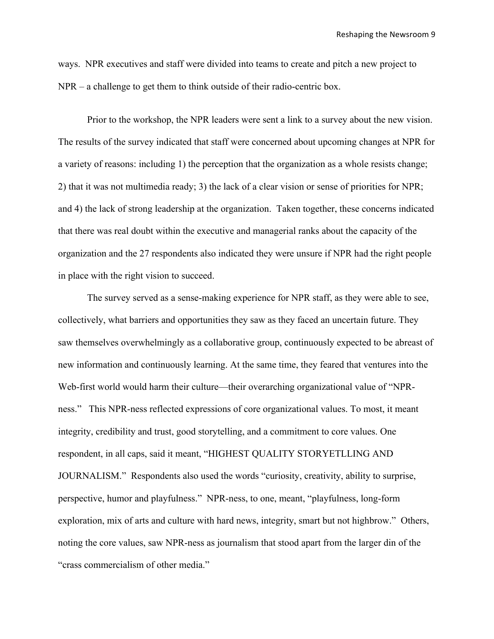ways. NPR executives and staff were divided into teams to create and pitch a new project to NPR – a challenge to get them to think outside of their radio-centric box.

Prior to the workshop, the NPR leaders were sent a link to a survey about the new vision. The results of the survey indicated that staff were concerned about upcoming changes at NPR for a variety of reasons: including 1) the perception that the organization as a whole resists change; 2) that it was not multimedia ready; 3) the lack of a clear vision or sense of priorities for NPR; and 4) the lack of strong leadership at the organization. Taken together, these concerns indicated that there was real doubt within the executive and managerial ranks about the capacity of the organization and the 27 respondents also indicated they were unsure if NPR had the right people in place with the right vision to succeed.

The survey served as a sense-making experience for NPR staff, as they were able to see, collectively, what barriers and opportunities they saw as they faced an uncertain future. They saw themselves overwhelmingly as a collaborative group, continuously expected to be abreast of new information and continuously learning. At the same time, they feared that ventures into the Web-first world would harm their culture—their overarching organizational value of "NPRness." This NPR-ness reflected expressions of core organizational values. To most, it meant integrity, credibility and trust, good storytelling, and a commitment to core values. One respondent, in all caps, said it meant, "HIGHEST QUALITY STORYETLLING AND JOURNALISM." Respondents also used the words "curiosity, creativity, ability to surprise, perspective, humor and playfulness." NPR-ness, to one, meant, "playfulness, long-form exploration, mix of arts and culture with hard news, integrity, smart but not highbrow." Others, noting the core values, saw NPR-ness as journalism that stood apart from the larger din of the "crass commercialism of other media."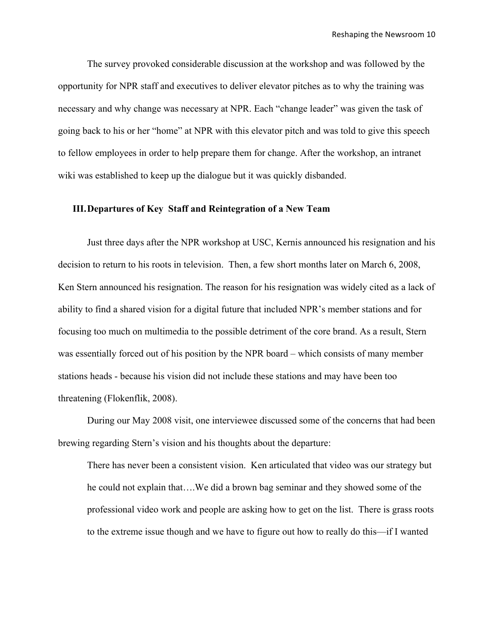The survey provoked considerable discussion at the workshop and was followed by the opportunity for NPR staff and executives to deliver elevator pitches as to why the training was necessary and why change was necessary at NPR. Each "change leader" was given the task of going back to his or her "home" at NPR with this elevator pitch and was told to give this speech to fellow employees in order to help prepare them for change. After the workshop, an intranet wiki was established to keep up the dialogue but it was quickly disbanded.

### **III.Departures of Key Staff and Reintegration of a New Team**

Just three days after the NPR workshop at USC, Kernis announced his resignation and his decision to return to his roots in television. Then, a few short months later on March 6, 2008, Ken Stern announced his resignation. The reason for his resignation was widely cited as a lack of ability to find a shared vision for a digital future that included NPR's member stations and for focusing too much on multimedia to the possible detriment of the core brand. As a result, Stern was essentially forced out of his position by the NPR board – which consists of many member stations heads - because his vision did not include these stations and may have been too threatening (Flokenflik, 2008).

During our May 2008 visit, one interviewee discussed some of the concerns that had been brewing regarding Stern's vision and his thoughts about the departure:

There has never been a consistent vision. Ken articulated that video was our strategy but he could not explain that….We did a brown bag seminar and they showed some of the professional video work and people are asking how to get on the list. There is grass roots to the extreme issue though and we have to figure out how to really do this—if I wanted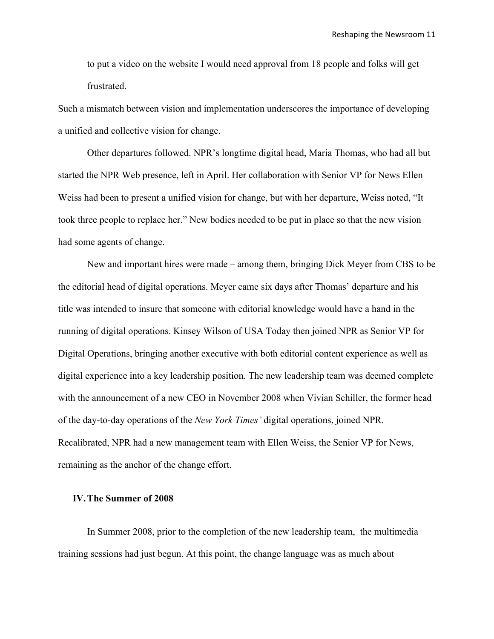to put a video on the website I would need approval from 18 people and folks will get frustrated.

Such a mismatch between vision and implementation underscores the importance of developing a unified and collective vision for change.

Other departures followed. NPR's longtime digital head, Maria Thomas, who had all but started the NPR Web presence, left in April. Her collaboration with Senior VP for News Ellen Weiss had been to present a unified vision for change, but with her departure, Weiss noted, "It took three people to replace her." New bodies needed to be put in place so that the new vision had some agents of change.

New and important hires were made – among them, bringing Dick Meyer from CBS to be the editorial head of digital operations. Meyer came six days after Thomas' departure and his title was intended to insure that someone with editorial knowledge would have a hand in the running of digital operations. Kinsey Wilson of USA Today then joined NPR as Senior VP for Digital Operations, bringing another executive with both editorial content experience as well as digital experience into a key leadership position. The new leadership team was deemed complete with the announcement of a new CEO in November 2008 when Vivian Schiller, the former head of the day-to-day operations of the *New York Times'* digital operations, joined NPR. Recalibrated, NPR had a new management team with Ellen Weiss, the Senior VP for News, remaining as the anchor of the change effort.

### **IV.The Summer of 2008**

In Summer 2008, prior to the completion of the new leadership team, the multimedia training sessions had just begun. At this point, the change language was as much about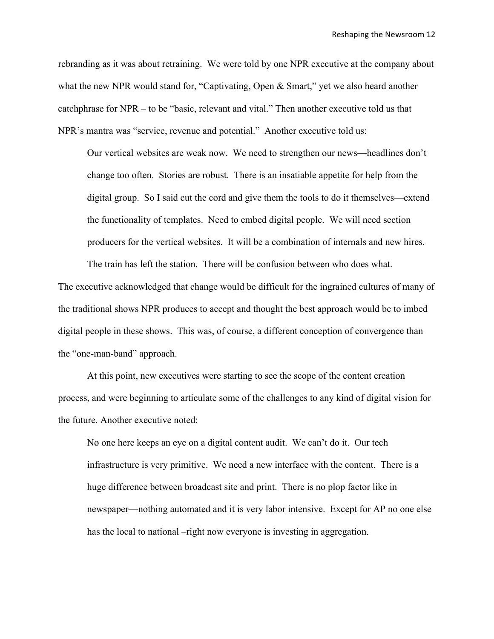rebranding as it was about retraining. We were told by one NPR executive at the company about what the new NPR would stand for, "Captivating, Open & Smart," yet we also heard another catchphrase for NPR – to be "basic, relevant and vital." Then another executive told us that NPR's mantra was "service, revenue and potential." Another executive told us:

Our vertical websites are weak now. We need to strengthen our news—headlines don't change too often. Stories are robust. There is an insatiable appetite for help from the digital group. So I said cut the cord and give them the tools to do it themselves—extend the functionality of templates. Need to embed digital people. We will need section producers for the vertical websites. It will be a combination of internals and new hires.

The executive acknowledged that change would be difficult for the ingrained cultures of many of the traditional shows NPR produces to accept and thought the best approach would be to imbed digital people in these shows. This was, of course, a different conception of convergence than the "one-man-band" approach.

The train has left the station. There will be confusion between who does what.

At this point, new executives were starting to see the scope of the content creation process, and were beginning to articulate some of the challenges to any kind of digital vision for the future. Another executive noted:

No one here keeps an eye on a digital content audit. We can't do it. Our tech infrastructure is very primitive. We need a new interface with the content. There is a huge difference between broadcast site and print. There is no plop factor like in newspaper—nothing automated and it is very labor intensive. Except for AP no one else has the local to national –right now everyone is investing in aggregation.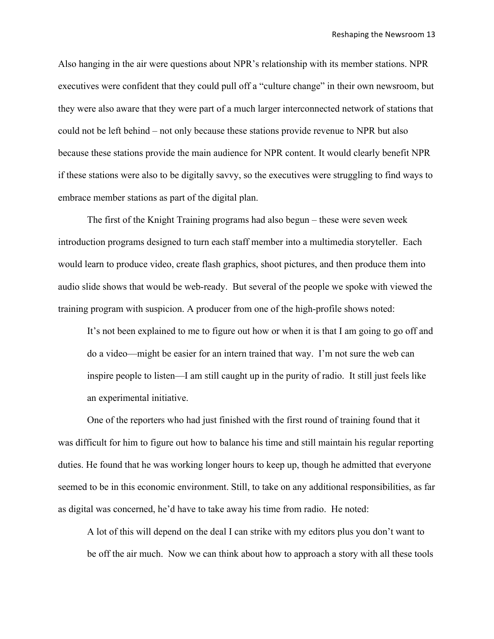Also hanging in the air were questions about NPR's relationship with its member stations. NPR executives were confident that they could pull off a "culture change" in their own newsroom, but they were also aware that they were part of a much larger interconnected network of stations that could not be left behind – not only because these stations provide revenue to NPR but also because these stations provide the main audience for NPR content. It would clearly benefit NPR if these stations were also to be digitally savvy, so the executives were struggling to find ways to embrace member stations as part of the digital plan.

The first of the Knight Training programs had also begun – these were seven week introduction programs designed to turn each staff member into a multimedia storyteller. Each would learn to produce video, create flash graphics, shoot pictures, and then produce them into audio slide shows that would be web-ready. But several of the people we spoke with viewed the training program with suspicion. A producer from one of the high-profile shows noted:

It's not been explained to me to figure out how or when it is that I am going to go off and do a video—might be easier for an intern trained that way. I'm not sure the web can inspire people to listen—I am still caught up in the purity of radio. It still just feels like an experimental initiative.

One of the reporters who had just finished with the first round of training found that it was difficult for him to figure out how to balance his time and still maintain his regular reporting duties. He found that he was working longer hours to keep up, though he admitted that everyone seemed to be in this economic environment. Still, to take on any additional responsibilities, as far as digital was concerned, he'd have to take away his time from radio. He noted:

A lot of this will depend on the deal I can strike with my editors plus you don't want to be off the air much. Now we can think about how to approach a story with all these tools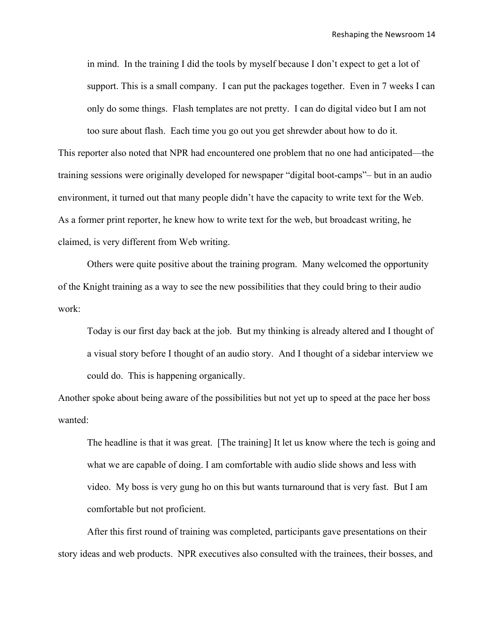in mind. In the training I did the tools by myself because I don't expect to get a lot of support. This is a small company. I can put the packages together. Even in 7 weeks I can only do some things. Flash templates are not pretty. I can do digital video but I am not too sure about flash. Each time you go out you get shrewder about how to do it.

This reporter also noted that NPR had encountered one problem that no one had anticipated—the training sessions were originally developed for newspaper "digital boot-camps"– but in an audio environment, it turned out that many people didn't have the capacity to write text for the Web. As a former print reporter, he knew how to write text for the web, but broadcast writing, he claimed, is very different from Web writing.

Others were quite positive about the training program. Many welcomed the opportunity of the Knight training as a way to see the new possibilities that they could bring to their audio work:

Today is our first day back at the job. But my thinking is already altered and I thought of a visual story before I thought of an audio story. And I thought of a sidebar interview we could do. This is happening organically.

Another spoke about being aware of the possibilities but not yet up to speed at the pace her boss wanted:

The headline is that it was great. [The training] It let us know where the tech is going and what we are capable of doing. I am comfortable with audio slide shows and less with video. My boss is very gung ho on this but wants turnaround that is very fast. But I am comfortable but not proficient.

After this first round of training was completed, participants gave presentations on their story ideas and web products. NPR executives also consulted with the trainees, their bosses, and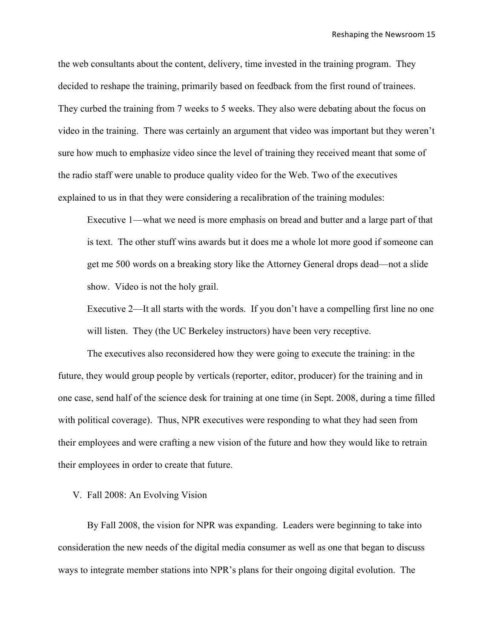the web consultants about the content, delivery, time invested in the training program. They decided to reshape the training, primarily based on feedback from the first round of trainees. They curbed the training from 7 weeks to 5 weeks. They also were debating about the focus on video in the training. There was certainly an argument that video was important but they weren't sure how much to emphasize video since the level of training they received meant that some of the radio staff were unable to produce quality video for the Web. Two of the executives explained to us in that they were considering a recalibration of the training modules:

Executive 1—what we need is more emphasis on bread and butter and a large part of that is text. The other stuff wins awards but it does me a whole lot more good if someone can get me 500 words on a breaking story like the Attorney General drops dead—not a slide show. Video is not the holy grail.

Executive 2—It all starts with the words. If you don't have a compelling first line no one will listen. They (the UC Berkeley instructors) have been very receptive.

The executives also reconsidered how they were going to execute the training: in the future, they would group people by verticals (reporter, editor, producer) for the training and in one case, send half of the science desk for training at one time (in Sept. 2008, during a time filled with political coverage). Thus, NPR executives were responding to what they had seen from their employees and were crafting a new vision of the future and how they would like to retrain their employees in order to create that future.

V. Fall 2008: An Evolving Vision

By Fall 2008, the vision for NPR was expanding. Leaders were beginning to take into consideration the new needs of the digital media consumer as well as one that began to discuss ways to integrate member stations into NPR's plans for their ongoing digital evolution. The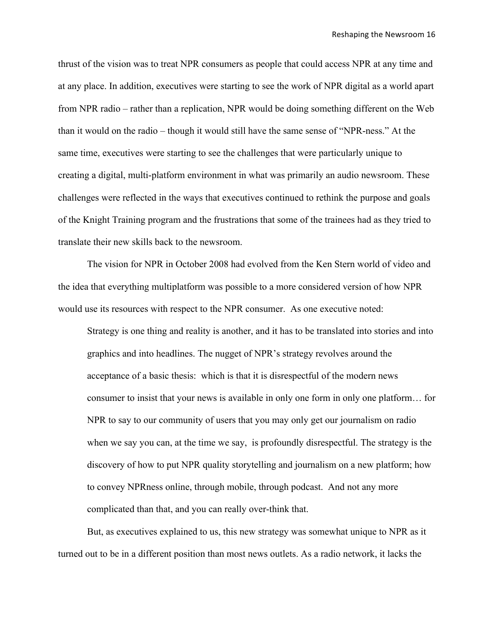thrust of the vision was to treat NPR consumers as people that could access NPR at any time and at any place. In addition, executives were starting to see the work of NPR digital as a world apart from NPR radio – rather than a replication, NPR would be doing something different on the Web than it would on the radio – though it would still have the same sense of "NPR-ness." At the same time, executives were starting to see the challenges that were particularly unique to creating a digital, multi-platform environment in what was primarily an audio newsroom. These challenges were reflected in the ways that executives continued to rethink the purpose and goals of the Knight Training program and the frustrations that some of the trainees had as they tried to translate their new skills back to the newsroom.

The vision for NPR in October 2008 had evolved from the Ken Stern world of video and the idea that everything multiplatform was possible to a more considered version of how NPR would use its resources with respect to the NPR consumer. As one executive noted:

Strategy is one thing and reality is another, and it has to be translated into stories and into graphics and into headlines. The nugget of NPR's strategy revolves around the acceptance of a basic thesis: which is that it is disrespectful of the modern news consumer to insist that your news is available in only one form in only one platform… for NPR to say to our community of users that you may only get our journalism on radio when we say you can, at the time we say, is profoundly disrespectful. The strategy is the discovery of how to put NPR quality storytelling and journalism on a new platform; how to convey NPRness online, through mobile, through podcast. And not any more complicated than that, and you can really over-think that.

But, as executives explained to us, this new strategy was somewhat unique to NPR as it turned out to be in a different position than most news outlets. As a radio network, it lacks the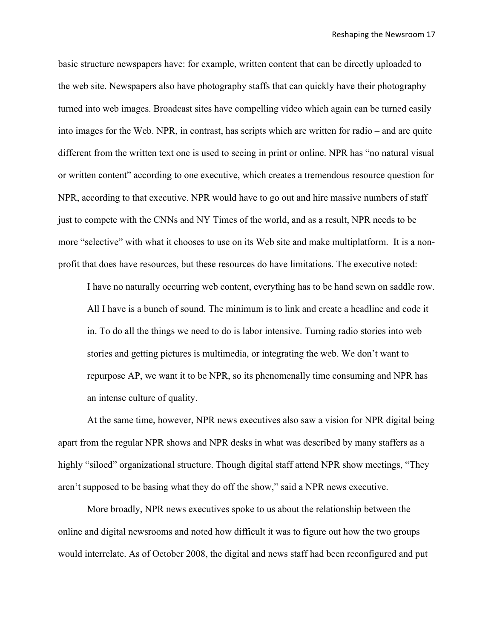basic structure newspapers have: for example, written content that can be directly uploaded to the web site. Newspapers also have photography staffs that can quickly have their photography turned into web images. Broadcast sites have compelling video which again can be turned easily into images for the Web. NPR, in contrast, has scripts which are written for radio – and are quite different from the written text one is used to seeing in print or online. NPR has "no natural visual or written content" according to one executive, which creates a tremendous resource question for NPR, according to that executive. NPR would have to go out and hire massive numbers of staff just to compete with the CNNs and NY Times of the world, and as a result, NPR needs to be more "selective" with what it chooses to use on its Web site and make multiplatform. It is a nonprofit that does have resources, but these resources do have limitations. The executive noted:

I have no naturally occurring web content, everything has to be hand sewn on saddle row. All I have is a bunch of sound. The minimum is to link and create a headline and code it in. To do all the things we need to do is labor intensive. Turning radio stories into web stories and getting pictures is multimedia, or integrating the web. We don't want to repurpose AP, we want it to be NPR, so its phenomenally time consuming and NPR has an intense culture of quality.

At the same time, however, NPR news executives also saw a vision for NPR digital being apart from the regular NPR shows and NPR desks in what was described by many staffers as a highly "siloed" organizational structure. Though digital staff attend NPR show meetings, "They aren't supposed to be basing what they do off the show," said a NPR news executive.

More broadly, NPR news executives spoke to us about the relationship between the online and digital newsrooms and noted how difficult it was to figure out how the two groups would interrelate. As of October 2008, the digital and news staff had been reconfigured and put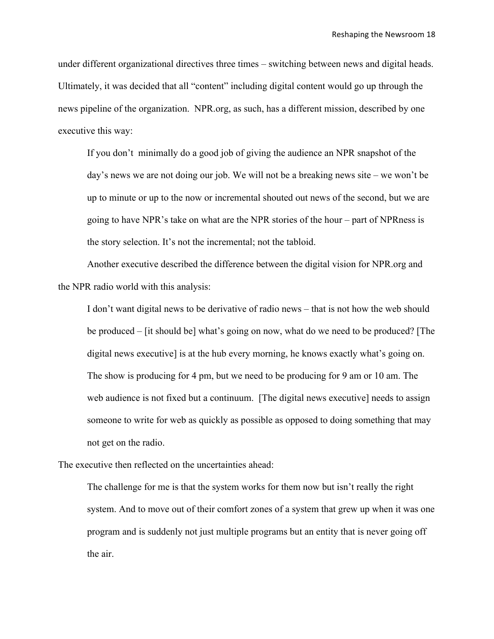under different organizational directives three times – switching between news and digital heads. Ultimately, it was decided that all "content" including digital content would go up through the news pipeline of the organization. NPR.org, as such, has a different mission, described by one executive this way:

If you don't minimally do a good job of giving the audience an NPR snapshot of the day's news we are not doing our job. We will not be a breaking news site – we won't be up to minute or up to the now or incremental shouted out news of the second, but we are going to have NPR's take on what are the NPR stories of the hour – part of NPRness is the story selection. It's not the incremental; not the tabloid.

Another executive described the difference between the digital vision for NPR.org and the NPR radio world with this analysis:

I don't want digital news to be derivative of radio news – that is not how the web should be produced – [it should be] what's going on now, what do we need to be produced? [The digital news executive] is at the hub every morning, he knows exactly what's going on. The show is producing for 4 pm, but we need to be producing for 9 am or 10 am. The web audience is not fixed but a continuum. [The digital news executive] needs to assign someone to write for web as quickly as possible as opposed to doing something that may not get on the radio.

The executive then reflected on the uncertainties ahead:

The challenge for me is that the system works for them now but isn't really the right system. And to move out of their comfort zones of a system that grew up when it was one program and is suddenly not just multiple programs but an entity that is never going off the air.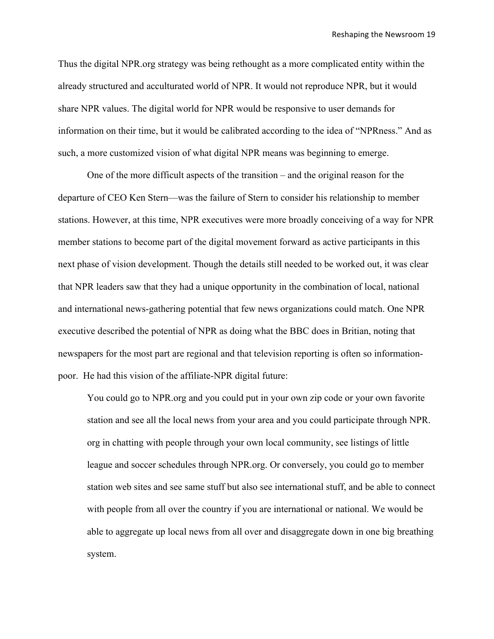Thus the digital NPR.org strategy was being rethought as a more complicated entity within the already structured and acculturated world of NPR. It would not reproduce NPR, but it would share NPR values. The digital world for NPR would be responsive to user demands for information on their time, but it would be calibrated according to the idea of "NPRness." And as such, a more customized vision of what digital NPR means was beginning to emerge.

One of the more difficult aspects of the transition – and the original reason for the departure of CEO Ken Stern—was the failure of Stern to consider his relationship to member stations. However, at this time, NPR executives were more broadly conceiving of a way for NPR member stations to become part of the digital movement forward as active participants in this next phase of vision development. Though the details still needed to be worked out, it was clear that NPR leaders saw that they had a unique opportunity in the combination of local, national and international news-gathering potential that few news organizations could match. One NPR executive described the potential of NPR as doing what the BBC does in Britian, noting that newspapers for the most part are regional and that television reporting is often so informationpoor. He had this vision of the affiliate-NPR digital future:

You could go to NPR.org and you could put in your own zip code or your own favorite station and see all the local news from your area and you could participate through NPR. org in chatting with people through your own local community, see listings of little league and soccer schedules through NPR.org. Or conversely, you could go to member station web sites and see same stuff but also see international stuff, and be able to connect with people from all over the country if you are international or national. We would be able to aggregate up local news from all over and disaggregate down in one big breathing system.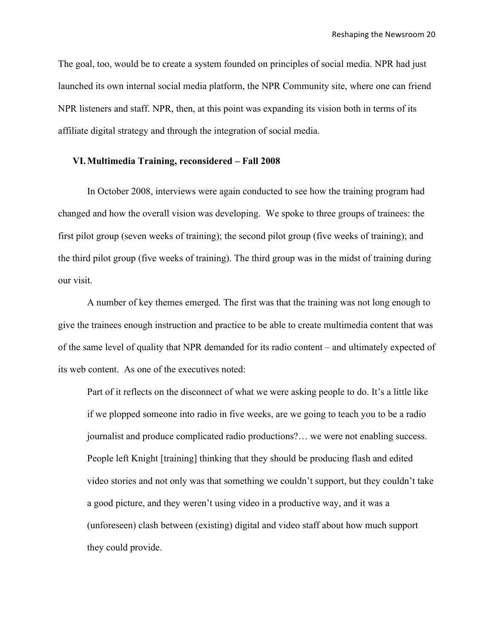The goal, too, would be to create a system founded on principles of social media. NPR had just launched its own internal social media platform, the NPR Community site, where one can friend NPR listeners and staff. NPR, then, at this point was expanding its vision both in terms of its affiliate digital strategy and through the integration of social media.

#### **VI.Multimedia Training, reconsidered – Fall 2008**

In October 2008, interviews were again conducted to see how the training program had changed and how the overall vision was developing. We spoke to three groups of trainees: the first pilot group (seven weeks of training); the second pilot group (five weeks of training); and the third pilot group (five weeks of training). The third group was in the midst of training during our visit.

A number of key themes emerged. The first was that the training was not long enough to give the trainees enough instruction and practice to be able to create multimedia content that was of the same level of quality that NPR demanded for its radio content – and ultimately expected of its web content. As one of the executives noted:

Part of it reflects on the disconnect of what we were asking people to do. It's a little like if we plopped someone into radio in five weeks, are we going to teach you to be a radio journalist and produce complicated radio productions?… we were not enabling success. People left Knight [training] thinking that they should be producing flash and edited video stories and not only was that something we couldn't support, but they couldn't take a good picture, and they weren't using video in a productive way, and it was a (unforeseen) clash between (existing) digital and video staff about how much support they could provide.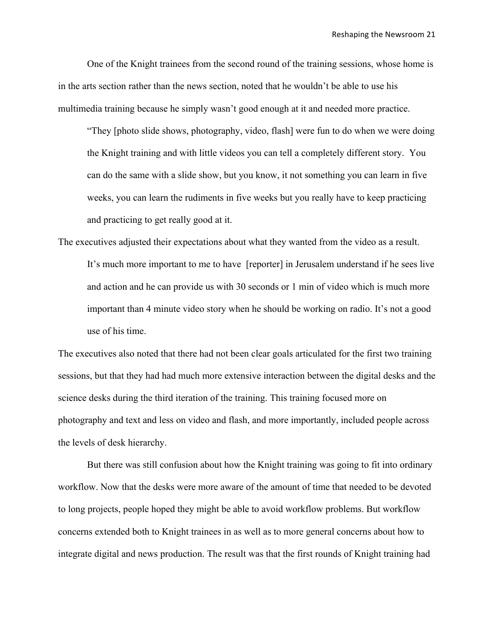One of the Knight trainees from the second round of the training sessions, whose home is in the arts section rather than the news section, noted that he wouldn't be able to use his multimedia training because he simply wasn't good enough at it and needed more practice.

"They [photo slide shows, photography, video, flash] were fun to do when we were doing the Knight training and with little videos you can tell a completely different story. You can do the same with a slide show, but you know, it not something you can learn in five weeks, you can learn the rudiments in five weeks but you really have to keep practicing and practicing to get really good at it.

The executives adjusted their expectations about what they wanted from the video as a result. It's much more important to me to have [reporter] in Jerusalem understand if he sees live and action and he can provide us with 30 seconds or 1 min of video which is much more important than 4 minute video story when he should be working on radio. It's not a good use of his time.

The executives also noted that there had not been clear goals articulated for the first two training sessions, but that they had had much more extensive interaction between the digital desks and the science desks during the third iteration of the training. This training focused more on photography and text and less on video and flash, and more importantly, included people across the levels of desk hierarchy.

But there was still confusion about how the Knight training was going to fit into ordinary workflow. Now that the desks were more aware of the amount of time that needed to be devoted to long projects, people hoped they might be able to avoid workflow problems. But workflow concerns extended both to Knight trainees in as well as to more general concerns about how to integrate digital and news production. The result was that the first rounds of Knight training had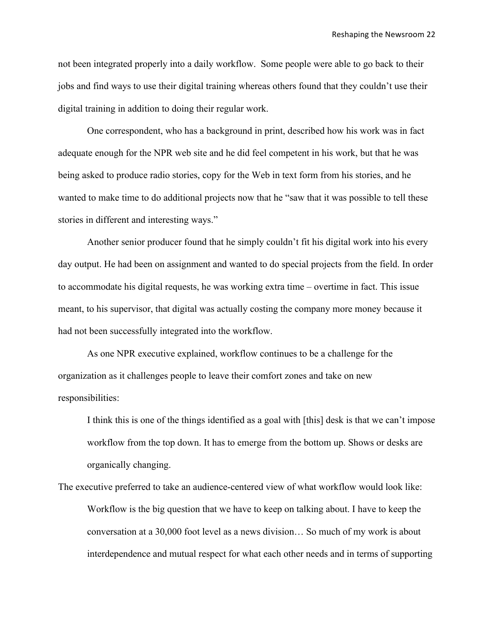not been integrated properly into a daily workflow. Some people were able to go back to their jobs and find ways to use their digital training whereas others found that they couldn't use their digital training in addition to doing their regular work.

One correspondent, who has a background in print, described how his work was in fact adequate enough for the NPR web site and he did feel competent in his work, but that he was being asked to produce radio stories, copy for the Web in text form from his stories, and he wanted to make time to do additional projects now that he "saw that it was possible to tell these stories in different and interesting ways."

Another senior producer found that he simply couldn't fit his digital work into his every day output. He had been on assignment and wanted to do special projects from the field. In order to accommodate his digital requests, he was working extra time – overtime in fact. This issue meant, to his supervisor, that digital was actually costing the company more money because it had not been successfully integrated into the workflow.

As one NPR executive explained, workflow continues to be a challenge for the organization as it challenges people to leave their comfort zones and take on new responsibilities:

I think this is one of the things identified as a goal with [this] desk is that we can't impose workflow from the top down. It has to emerge from the bottom up. Shows or desks are organically changing.

The executive preferred to take an audience-centered view of what workflow would look like: Workflow is the big question that we have to keep on talking about. I have to keep the conversation at a 30,000 foot level as a news division… So much of my work is about interdependence and mutual respect for what each other needs and in terms of supporting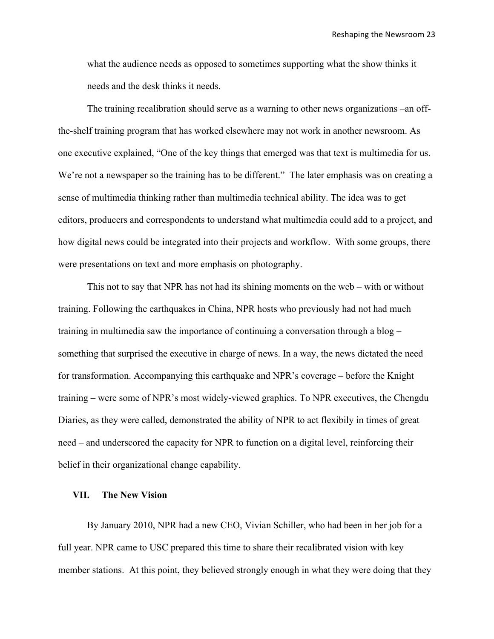what the audience needs as opposed to sometimes supporting what the show thinks it needs and the desk thinks it needs.

The training recalibration should serve as a warning to other news organizations –an offthe-shelf training program that has worked elsewhere may not work in another newsroom. As one executive explained, "One of the key things that emerged was that text is multimedia for us. We're not a newspaper so the training has to be different." The later emphasis was on creating a sense of multimedia thinking rather than multimedia technical ability. The idea was to get editors, producers and correspondents to understand what multimedia could add to a project, and how digital news could be integrated into their projects and workflow. With some groups, there were presentations on text and more emphasis on photography.

This not to say that NPR has not had its shining moments on the web – with or without training. Following the earthquakes in China, NPR hosts who previously had not had much training in multimedia saw the importance of continuing a conversation through a blog – something that surprised the executive in charge of news. In a way, the news dictated the need for transformation. Accompanying this earthquake and NPR's coverage – before the Knight training – were some of NPR's most widely-viewed graphics. To NPR executives, the Chengdu Diaries, as they were called, demonstrated the ability of NPR to act flexibily in times of great need – and underscored the capacity for NPR to function on a digital level, reinforcing their belief in their organizational change capability.

#### **VII. The New Vision**

By January 2010, NPR had a new CEO, Vivian Schiller, who had been in her job for a full year. NPR came to USC prepared this time to share their recalibrated vision with key member stations. At this point, they believed strongly enough in what they were doing that they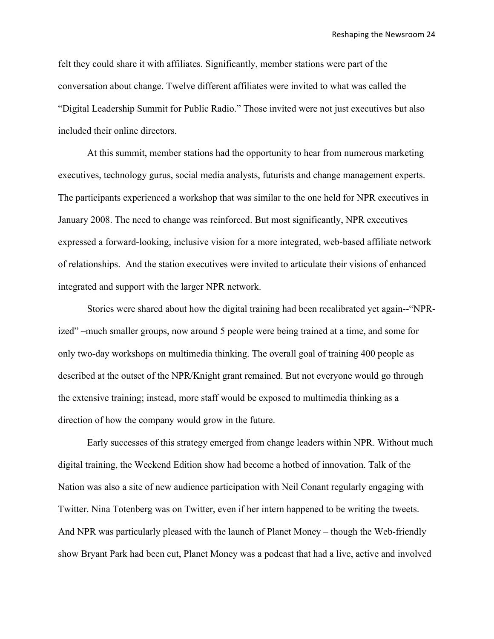felt they could share it with affiliates. Significantly, member stations were part of the conversation about change. Twelve different affiliates were invited to what was called the "Digital Leadership Summit for Public Radio." Those invited were not just executives but also included their online directors.

At this summit, member stations had the opportunity to hear from numerous marketing executives, technology gurus, social media analysts, futurists and change management experts. The participants experienced a workshop that was similar to the one held for NPR executives in January 2008. The need to change was reinforced. But most significantly, NPR executives expressed a forward-looking, inclusive vision for a more integrated, web-based affiliate network of relationships. And the station executives were invited to articulate their visions of enhanced integrated and support with the larger NPR network.

Stories were shared about how the digital training had been recalibrated yet again--"NPRized" –much smaller groups, now around 5 people were being trained at a time, and some for only two-day workshops on multimedia thinking. The overall goal of training 400 people as described at the outset of the NPR/Knight grant remained. But not everyone would go through the extensive training; instead, more staff would be exposed to multimedia thinking as a direction of how the company would grow in the future.

Early successes of this strategy emerged from change leaders within NPR. Without much digital training, the Weekend Edition show had become a hotbed of innovation. Talk of the Nation was also a site of new audience participation with Neil Conant regularly engaging with Twitter. Nina Totenberg was on Twitter, even if her intern happened to be writing the tweets. And NPR was particularly pleased with the launch of Planet Money – though the Web-friendly show Bryant Park had been cut, Planet Money was a podcast that had a live, active and involved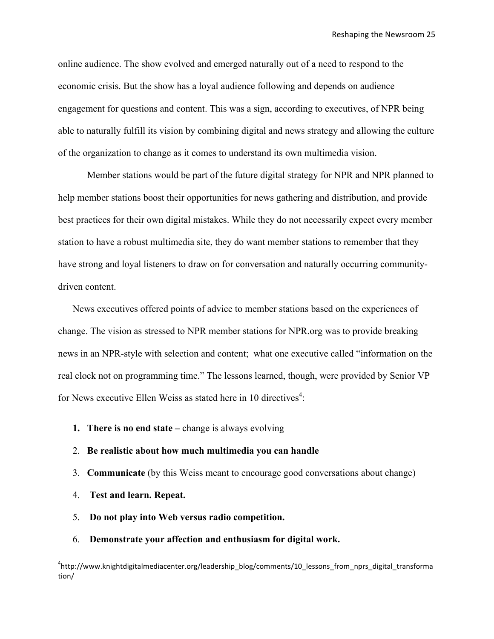online audience. The show evolved and emerged naturally out of a need to respond to the economic crisis. But the show has a loyal audience following and depends on audience engagement for questions and content. This was a sign, according to executives, of NPR being able to naturally fulfill its vision by combining digital and news strategy and allowing the culture of the organization to change as it comes to understand its own multimedia vision.

Member stations would be part of the future digital strategy for NPR and NPR planned to help member stations boost their opportunities for news gathering and distribution, and provide best practices for their own digital mistakes. While they do not necessarily expect every member station to have a robust multimedia site, they do want member stations to remember that they have strong and loyal listeners to draw on for conversation and naturally occurring communitydriven content.

News executives offered points of advice to member stations based on the experiences of change. The vision as stressed to NPR member stations for NPR.org was to provide breaking news in an NPR-style with selection and content; what one executive called "information on the real clock not on programming time." The lessons learned, though, were provided by Senior VP for News executive Ellen Weiss as stated here in 10 directives<sup>4</sup>:

- **1. There is no end state –** change is always evolving
- 2. **Be realistic about how much multimedia you can handle**
- 3. **Communicate** (by this Weiss meant to encourage good conversations about change)
- 4. **Test and learn. Repeat.**

\*\*\*\*\*\*\*\*\*\*\*\*\*\*\*\*\*\*\*\*\*\*\*\*\*\*\*\*\*\*\*\*\*\*\*\*\*\*\*\*\*\*\*\*\*\*\*\*\*\*\*\*\*\*\*\*\*\*\*\*

- 5. **Do not play into Web versus radio competition.**
- 6. **Demonstrate your affection and enthusiasm for digital work.**

<sup>4</sup> http://www.knightdigitalmediacenter.org/leadership\_blog/comments/10\_lessons\_from\_nprs\_digital\_transforma tion/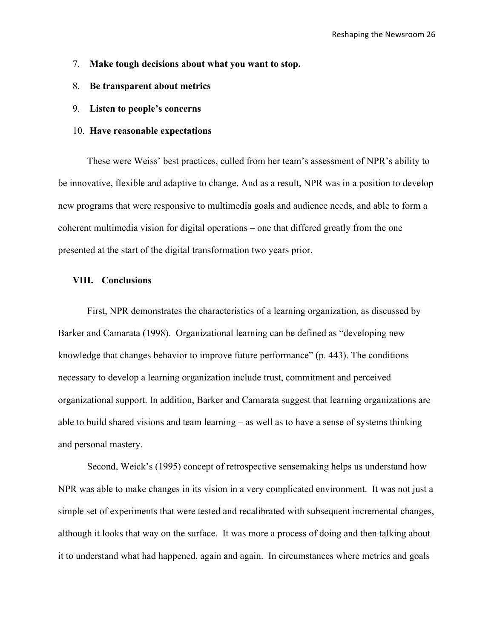- 7. **Make tough decisions about what you want to stop.**
- 8. **Be transparent about metrics**
- 9. **Listen to people's concerns**
- 10. **Have reasonable expectations**

These were Weiss' best practices, culled from her team's assessment of NPR's ability to be innovative, flexible and adaptive to change. And as a result, NPR was in a position to develop new programs that were responsive to multimedia goals and audience needs, and able to form a coherent multimedia vision for digital operations – one that differed greatly from the one presented at the start of the digital transformation two years prior.

# **VIII. Conclusions**

First, NPR demonstrates the characteristics of a learning organization, as discussed by Barker and Camarata (1998). Organizational learning can be defined as "developing new knowledge that changes behavior to improve future performance" (p. 443). The conditions necessary to develop a learning organization include trust, commitment and perceived organizational support. In addition, Barker and Camarata suggest that learning organizations are able to build shared visions and team learning – as well as to have a sense of systems thinking and personal mastery.

Second, Weick's (1995) concept of retrospective sensemaking helps us understand how NPR was able to make changes in its vision in a very complicated environment. It was not just a simple set of experiments that were tested and recalibrated with subsequent incremental changes, although it looks that way on the surface. It was more a process of doing and then talking about it to understand what had happened, again and again. In circumstances where metrics and goals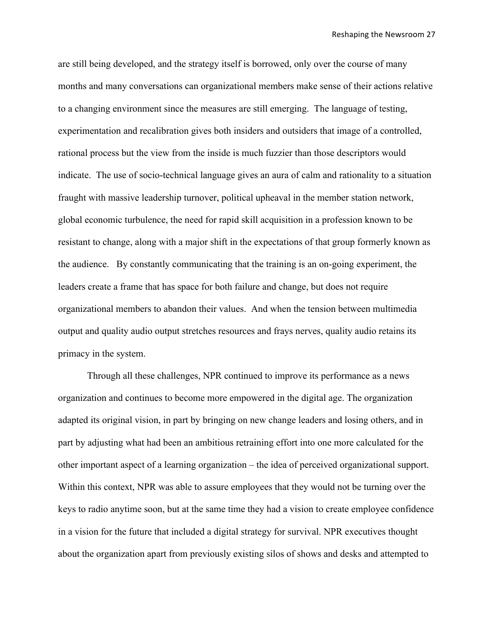are still being developed, and the strategy itself is borrowed, only over the course of many months and many conversations can organizational members make sense of their actions relative to a changing environment since the measures are still emerging. The language of testing, experimentation and recalibration gives both insiders and outsiders that image of a controlled, rational process but the view from the inside is much fuzzier than those descriptors would indicate. The use of socio-technical language gives an aura of calm and rationality to a situation fraught with massive leadership turnover, political upheaval in the member station network, global economic turbulence, the need for rapid skill acquisition in a profession known to be resistant to change, along with a major shift in the expectations of that group formerly known as the audience. By constantly communicating that the training is an on-going experiment, the leaders create a frame that has space for both failure and change, but does not require organizational members to abandon their values. And when the tension between multimedia output and quality audio output stretches resources and frays nerves, quality audio retains its primacy in the system.

Through all these challenges, NPR continued to improve its performance as a news organization and continues to become more empowered in the digital age. The organization adapted its original vision, in part by bringing on new change leaders and losing others, and in part by adjusting what had been an ambitious retraining effort into one more calculated for the other important aspect of a learning organization – the idea of perceived organizational support. Within this context, NPR was able to assure employees that they would not be turning over the keys to radio anytime soon, but at the same time they had a vision to create employee confidence in a vision for the future that included a digital strategy for survival. NPR executives thought about the organization apart from previously existing silos of shows and desks and attempted to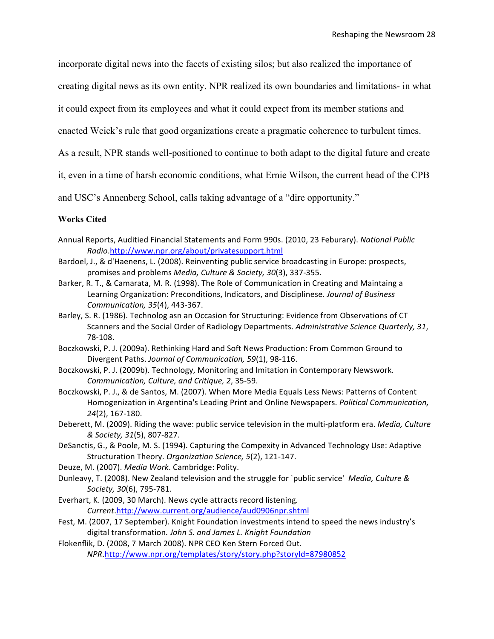incorporate digital news into the facets of existing silos; but also realized the importance of

creating digital news as its own entity. NPR realized its own boundaries and limitations- in what

it could expect from its employees and what it could expect from its member stations and

enacted Weick's rule that good organizations create a pragmatic coherence to turbulent times.

As a result, NPR stands well-positioned to continue to both adapt to the digital future and create

it, even in a time of harsh economic conditions, what Ernie Wilson, the current head of the CPB

and USC's Annenberg School, calls taking advantage of a "dire opportunity."

### **Works Cited**

- Annual Reports, Auditied Financial Statements and Form 990s. (2010, 23 Feburary). National Public *Radio*.http://www.npr.org/about/privatesupport.html
- Bardoel, J., & d'Haenens, L. (2008). Reinventing public service broadcasting in Europe: prospects, promises and problems *Media, Culture & Society, 30*(3), 337-355.
- Barker, R. T., & Camarata, M. R. (1998). The Role of Communication in Creating and Maintaing a Learning Organization: Preconditions, Indicators, and Disciplinese. *Journal of Business Communication, 35*(4), 443-367.
- Barley, S. R. (1986). Technolog asn an Occasion for Structuring: Evidence from Observations of CT Scanners and the Social Order of Radiology Departments. Administrative Science Quarterly, 31, 78-108.
- Boczkowski, P. J. (2009a). Rethinking Hard and Soft News Production: From Common Ground to Divergent Paths. *Journal of Communication, 59*(1), 98-116.
- Boczkowski, P. J. (2009b). Technology, Monitoring and Imitation in Contemporary Newswork. *Communication, Culture, and Critique, 2, 35-59.*
- Boczkowski, P. J., & de Santos, M. (2007). When More Media Equals Less News: Patterns of Content Homogenization in Argentina's Leading Print and Online Newspapers. Political Communication, *24*(2), 167-180.
- Deberett, M. (2009). Riding the wave: public service television in the multi-platform era. *Media, Culture*  $& Society, 31(5)$ , 807-827.
- DeSanctis, G., & Poole, M. S. (1994). Capturing the Compexity in Advanced Technology Use: Adaptive Structuration Theory. *Organization Science, 5*(2), 121-147.
- Deuze, M. (2007). *Media Work*. Cambridge: Polity.
- Dunleavy, T. (2008). New Zealand television and the struggle for `public service' Media, Culture & *Society, 30*(6), 795-781.
- Everhart, K. (2009, 30 March). News cycle attracts record listening. *Current*.http://www.current.org/audience/aud0906npr.shtml
- Fest, M. (2007, 17 September). Knight Foundation investments intend to speed the news industry's digital transformation. John S. and James L. Knight Foundation
- Flokenflik, D. (2008, 7 March 2008). NPR CEO Ken Stern Forced Out. *NPR*.http://www.npr.org/templates/story/story.php?storyId=87980852